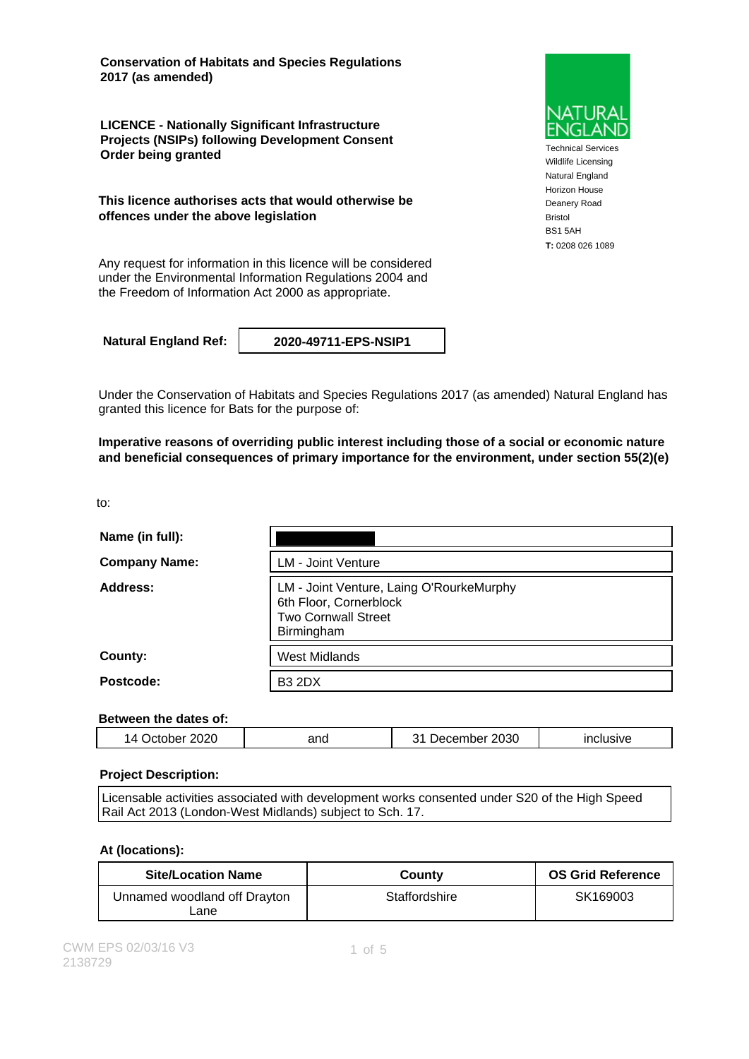**Conservation of Habitats and Species Regulations 2017 (as amended)**

**LICENCE - Nationally Significant Infrastructure Projects (NSIPs) following Development Consent Order being granted**

**This licence authorises acts that would otherwise be offences under the above legislation**

Any request for information in this licence will be considered under the Environmental Information Regulations 2004 and the Freedom of Information Act 2000 as appropriate.

**Natural England Ref: 2020-49711-EPS-NSIP1**

Under the Conservation of Habitats and Species Regulations 2017 (as amended) Natural England has granted this licence for Bats for the purpose of:

**Imperative reasons of overriding public interest including those of a social or economic nature and beneficial consequences of primary importance for the environment, under section 55(2)(e)**

to:

| Name (in full):      |                                                                                                                |  |
|----------------------|----------------------------------------------------------------------------------------------------------------|--|
| <b>Company Name:</b> | <b>LM - Joint Venture</b>                                                                                      |  |
| Address:             | LM - Joint Venture, Laing O'RourkeMurphy<br>6th Floor, Cornerblock<br><b>Two Cornwall Street</b><br>Birmingham |  |
| County:              | <b>West Midlands</b>                                                                                           |  |
| Postcode:            | <b>B3 2DX</b>                                                                                                  |  |

### **Between the dates of:**

| 2020<br>2030<br>,,<br>and<br>clusive<br>ember<br>- -<br>ىد.<br>يبرر<br>.<br>___ |  |  |  |  |
|---------------------------------------------------------------------------------|--|--|--|--|
|---------------------------------------------------------------------------------|--|--|--|--|

#### **Project Description:**

Licensable activities associated with development works consented under S20 of the High Speed Rail Act 2013 (London-West Midlands) subject to Sch. 17.

#### **At (locations):**

| <b>Site/Location Name</b>            | County        | <b>OS Grid Reference</b> |
|--------------------------------------|---------------|--------------------------|
| Unnamed woodland off Drayton<br>Lane | Staffordshire | SK169003                 |



Technical Services Wildlife Licensing Natural England Horizon House Deanery Road Bristol BS1 5AH **T:** 0208 026 1089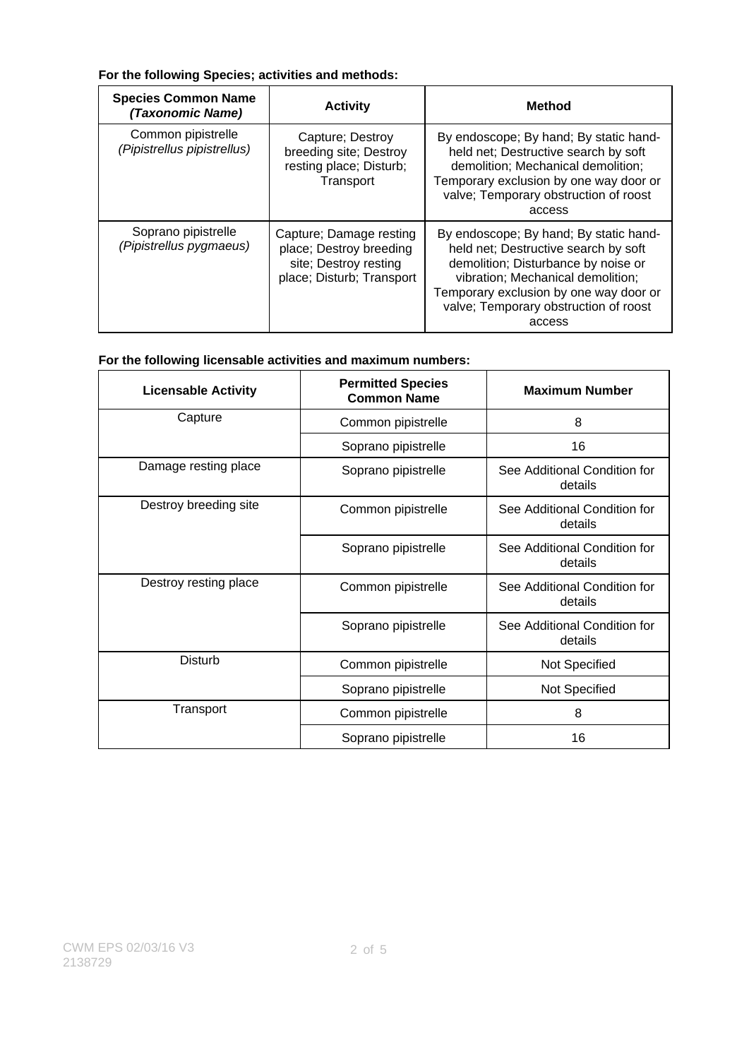### **For the following Species; activities and methods:**

| <b>Species Common Name</b><br>(Taxonomic Name)    | <b>Activity</b>                                                                                          | <b>Method</b>                                                                                                                                                                                                                                           |
|---------------------------------------------------|----------------------------------------------------------------------------------------------------------|---------------------------------------------------------------------------------------------------------------------------------------------------------------------------------------------------------------------------------------------------------|
| Common pipistrelle<br>(Pipistrellus pipistrellus) | Capture; Destroy<br>breeding site; Destroy<br>resting place; Disturb;<br>Transport                       | By endoscope; By hand; By static hand-<br>held net; Destructive search by soft<br>demolition; Mechanical demolition;<br>Temporary exclusion by one way door or<br>valve; Temporary obstruction of roost<br>access                                       |
| Soprano pipistrelle<br>(Pipistrellus pygmaeus)    | Capture; Damage resting<br>place; Destroy breeding<br>site; Destroy resting<br>place; Disturb; Transport | By endoscope; By hand; By static hand-<br>held net; Destructive search by soft<br>demolition; Disturbance by noise or<br>vibration; Mechanical demolition;<br>Temporary exclusion by one way door or<br>valve; Temporary obstruction of roost<br>access |

## **For the following licensable activities and maximum numbers:**

| <b>Licensable Activity</b> | <b>Permitted Species</b><br><b>Common Name</b> | <b>Maximum Number</b>                   |
|----------------------------|------------------------------------------------|-----------------------------------------|
| Capture                    | Common pipistrelle                             | 8                                       |
|                            | Soprano pipistrelle                            | 16                                      |
| Damage resting place       | Soprano pipistrelle                            | See Additional Condition for<br>details |
| Destroy breeding site      | Common pipistrelle                             | See Additional Condition for<br>details |
|                            | Soprano pipistrelle                            | See Additional Condition for<br>details |
| Destroy resting place      | Common pipistrelle                             | See Additional Condition for<br>details |
|                            | Soprano pipistrelle                            | See Additional Condition for<br>details |
| Disturb                    | Common pipistrelle                             | Not Specified                           |
|                            | Soprano pipistrelle                            | Not Specified                           |
| Transport                  | Common pipistrelle                             | 8                                       |
|                            | Soprano pipistrelle                            | 16                                      |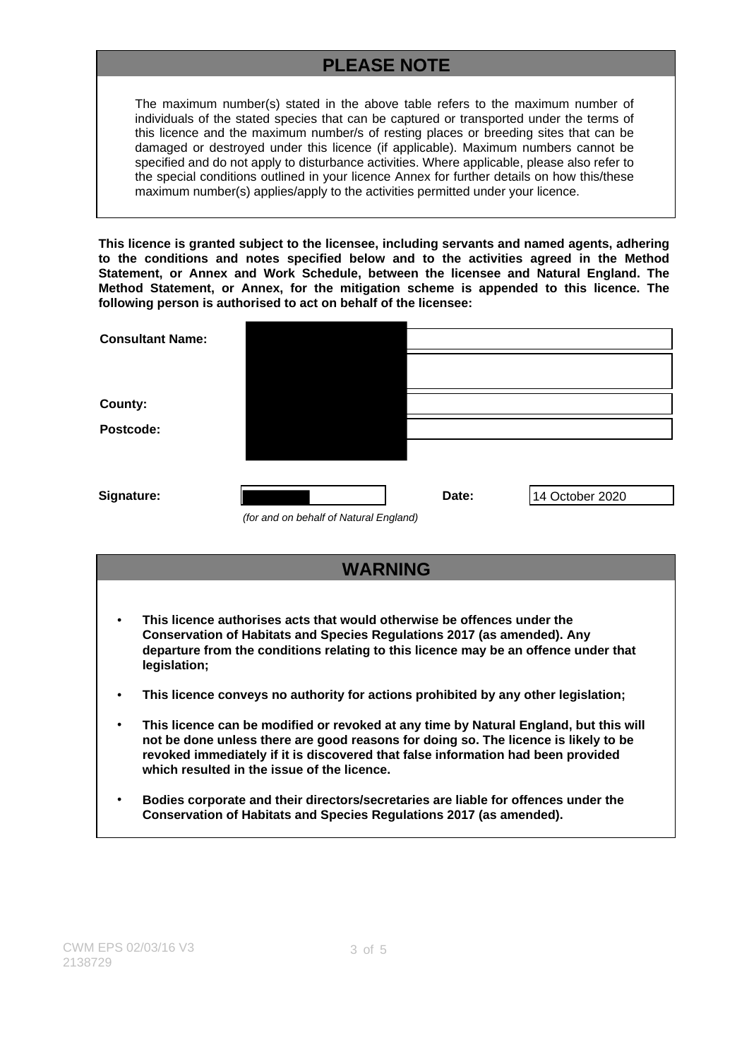# **PLEASE NOTE**

The maximum number(s) stated in the above table refers to the maximum number of individuals of the stated species that can be captured or transported under the terms of this licence and the maximum number/s of resting places or breeding sites that can be damaged or destroyed under this licence (if applicable). Maximum numbers cannot be specified and do not apply to disturbance activities. Where applicable, please also refer to the special conditions outlined in your licence Annex for further details on how this/these maximum number(s) applies/apply to the activities permitted under your licence.

**This licence is granted subject to the licensee, including servants and named agents, adhering to the conditions and notes specified below and to the activities agreed in the Method Statement, or Annex and Work Schedule, between the licensee and Natural England. The Method Statement, or Annex, for the mitigation scheme is appended to this licence. The following person is authorised to act on behalf of the licensee:**

| <b>Consultant Name:</b> |                                        |       |                 |
|-------------------------|----------------------------------------|-------|-----------------|
|                         |                                        |       |                 |
| <b>County:</b>          |                                        |       |                 |
| Postcode:               |                                        |       |                 |
|                         |                                        |       |                 |
| Signature:              |                                        | Date: | 14 October 2020 |
|                         | (for and on behalf of Natural England) |       |                 |

- **WARNING** • **This licence authorises acts that would otherwise be offences under the Conservation of Habitats and Species Regulations 2017 (as amended). Any departure from the conditions relating to this licence may be an offence under that**
- **This licence conveys no authority for actions prohibited by any other legislation;**
- **This licence can be modified or revoked at any time by Natural England, but this will not be done unless there are good reasons for doing so. The licence is likely to be revoked immediately if it is discovered that false information had been provided which resulted in the issue of the licence.**
- **Bodies corporate and their directors/secretaries are liable for offences under the Conservation of Habitats and Species Regulations 2017 (as amended).**

**legislation;**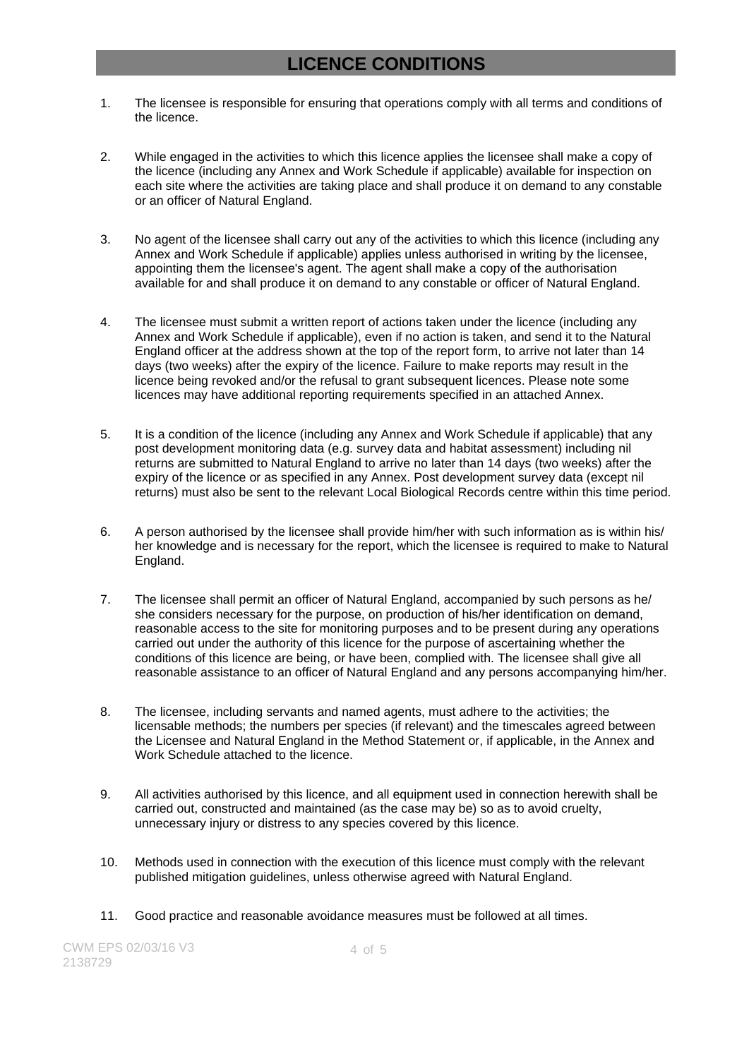## **LICENCE CONDITIONS**

- 1. The licensee is responsible for ensuring that operations comply with all terms and conditions of the licence.
- 2. While engaged in the activities to which this licence applies the licensee shall make a copy of the licence (including any Annex and Work Schedule if applicable) available for inspection on each site where the activities are taking place and shall produce it on demand to any constable or an officer of Natural England.
- 3. No agent of the licensee shall carry out any of the activities to which this licence (including any Annex and Work Schedule if applicable) applies unless authorised in writing by the licensee, appointing them the licensee's agent. The agent shall make a copy of the authorisation available for and shall produce it on demand to any constable or officer of Natural England.
- 4. The licensee must submit a written report of actions taken under the licence (including any Annex and Work Schedule if applicable), even if no action is taken, and send it to the Natural England officer at the address shown at the top of the report form, to arrive not later than 14 days (two weeks) after the expiry of the licence. Failure to make reports may result in the licence being revoked and/or the refusal to grant subsequent licences. Please note some licences may have additional reporting requirements specified in an attached Annex.
- 5. It is a condition of the licence (including any Annex and Work Schedule if applicable) that any post development monitoring data (e.g. survey data and habitat assessment) including nil returns are submitted to Natural England to arrive no later than 14 days (two weeks) after the expiry of the licence or as specified in any Annex. Post development survey data (except nil returns) must also be sent to the relevant Local Biological Records centre within this time period.
- 6. A person authorised by the licensee shall provide him/her with such information as is within his/ her knowledge and is necessary for the report, which the licensee is required to make to Natural England.
- 7. The licensee shall permit an officer of Natural England, accompanied by such persons as he/ she considers necessary for the purpose, on production of his/her identification on demand, reasonable access to the site for monitoring purposes and to be present during any operations carried out under the authority of this licence for the purpose of ascertaining whether the conditions of this licence are being, or have been, complied with. The licensee shall give all reasonable assistance to an officer of Natural England and any persons accompanying him/her.
- 8. The licensee, including servants and named agents, must adhere to the activities; the licensable methods; the numbers per species (if relevant) and the timescales agreed between the Licensee and Natural England in the Method Statement or, if applicable, in the Annex and Work Schedule attached to the licence.
- 9. All activities authorised by this licence, and all equipment used in connection herewith shall be carried out, constructed and maintained (as the case may be) so as to avoid cruelty, unnecessary injury or distress to any species covered by this licence.
- 10. Methods used in connection with the execution of this licence must comply with the relevant published mitigation guidelines, unless otherwise agreed with Natural England.
- 11. Good practice and reasonable avoidance measures must be followed at all times.